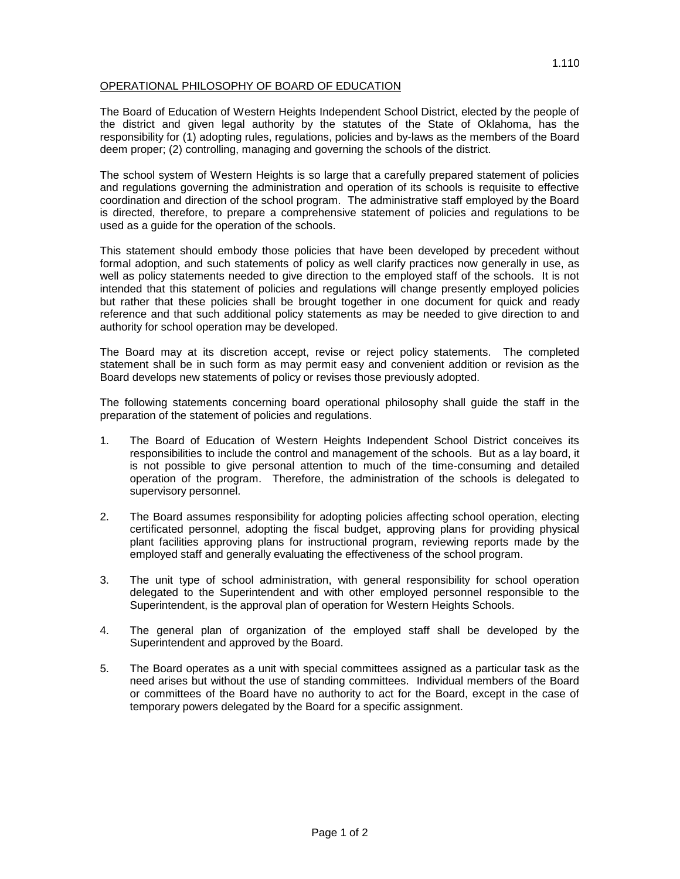## OPERATIONAL PHILOSOPHY OF BOARD OF EDUCATION

The Board of Education of Western Heights Independent School District, elected by the people of the district and given legal authority by the statutes of the State of Oklahoma, has the responsibility for (1) adopting rules, regulations, policies and by-laws as the members of the Board deem proper; (2) controlling, managing and governing the schools of the district.

The school system of Western Heights is so large that a carefully prepared statement of policies and regulations governing the administration and operation of its schools is requisite to effective coordination and direction of the school program. The administrative staff employed by the Board is directed, therefore, to prepare a comprehensive statement of policies and regulations to be used as a guide for the operation of the schools.

This statement should embody those policies that have been developed by precedent without formal adoption, and such statements of policy as well clarify practices now generally in use, as well as policy statements needed to give direction to the employed staff of the schools. It is not intended that this statement of policies and regulations will change presently employed policies but rather that these policies shall be brought together in one document for quick and ready reference and that such additional policy statements as may be needed to give direction to and authority for school operation may be developed.

The Board may at its discretion accept, revise or reject policy statements. The completed statement shall be in such form as may permit easy and convenient addition or revision as the Board develops new statements of policy or revises those previously adopted.

The following statements concerning board operational philosophy shall guide the staff in the preparation of the statement of policies and regulations.

- 1. The Board of Education of Western Heights Independent School District conceives its responsibilities to include the control and management of the schools. But as a lay board, it is not possible to give personal attention to much of the time-consuming and detailed operation of the program. Therefore, the administration of the schools is delegated to supervisory personnel.
- 2. The Board assumes responsibility for adopting policies affecting school operation, electing certificated personnel, adopting the fiscal budget, approving plans for providing physical plant facilities approving plans for instructional program, reviewing reports made by the employed staff and generally evaluating the effectiveness of the school program.
- 3. The unit type of school administration, with general responsibility for school operation delegated to the Superintendent and with other employed personnel responsible to the Superintendent, is the approval plan of operation for Western Heights Schools.
- 4. The general plan of organization of the employed staff shall be developed by the Superintendent and approved by the Board.
- 5. The Board operates as a unit with special committees assigned as a particular task as the need arises but without the use of standing committees. Individual members of the Board or committees of the Board have no authority to act for the Board, except in the case of temporary powers delegated by the Board for a specific assignment.